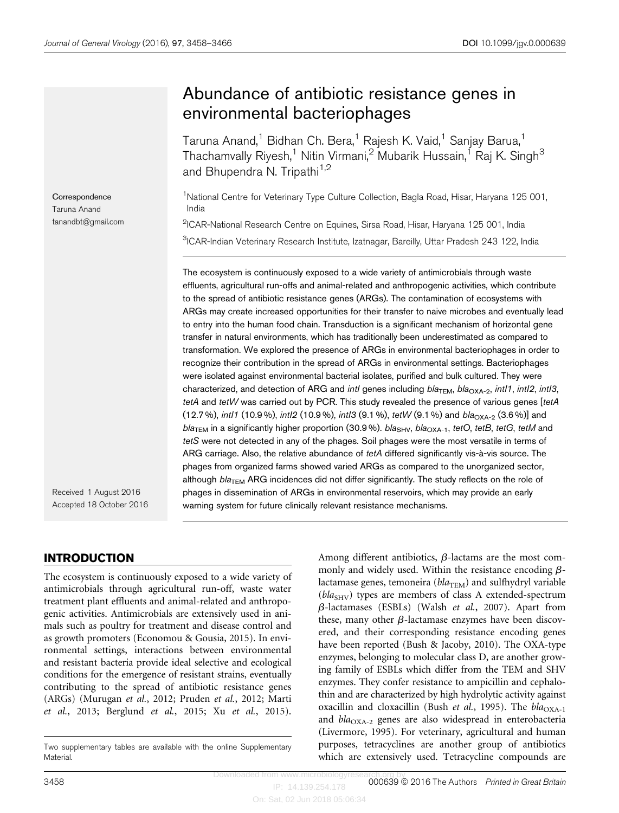# Abundance of antibiotic resistance genes in environmental bacteriophages

Taruna Anand,<sup>1</sup> Bidhan Ch. Bera,<sup>1</sup> Rajesh K. Vaid,<sup>1</sup> Sanjay Barua,<sup>1</sup> Thachamvally Riyesh,<sup>1</sup> Nitin Virmani,<sup>2</sup> Mubarik Hussain,<sup>1</sup> Raj K. Singh<sup>3</sup> and Bhupendra N. Tripathi<sup>1,2</sup>

<sup>1</sup>National Centre for Veterinary Type Culture Collection, Bagla Road, Hisar, Haryana 125 001, India

<sup>2</sup>ICAR-National Research Centre on Equines, Sirsa Road, Hisar, Haryana 125 001, India <sup>3</sup>ICAR-Indian Veterinary Research Institute, Izatnagar, Bareilly, Uttar Pradesh 243 122, India

The ecosystem is continuously exposed to a wide variety of antimicrobials through waste effluents, agricultural run-offs and animal-related and anthropogenic activities, which contribute to the spread of antibiotic resistance genes (ARGs). The contamination of ecosystems with ARGs may create increased opportunities for their transfer to naive microbes and eventually lead to entry into the human food chain. Transduction is a significant mechanism of horizontal gene transfer in natural environments, which has traditionally been underestimated as compared to transformation. We explored the presence of ARGs in environmental bacteriophages in order to recognize their contribution in the spread of ARGs in environmental settings. Bacteriophages were isolated against environmental bacterial isolates, purified and bulk cultured. They were characterized, and detection of ARG and intl genes including  $bla_{\text{TEM}}$ ,  $bla_{\text{OXA-2}}$ , intl1, intl2, intl3, tetA and tetW was carried out by PCR. This study revealed the presence of various genes [tetA  $(12.7\%)$ , intl1  $(10.9\%)$ , intl2  $(10.9\%)$ , intl3  $(9.1\%)$ , tetW  $(9.1\%)$  and  $bla_{\text{OXA-2}}$   $(3.6\%)$ ] and  $bla<sub>TEM</sub>$  in a significantly higher proportion (30.9%). bla<sub>SHV</sub>, bla<sub>OXA-1</sub>, tetO, tetB, tetG, tetM and tetS were not detected in any of the phages. Soil phages were the most versatile in terms of ARG carriage. Also, the relative abundance of  $tetA$  differed significantly vis-à-vis source. The phages from organized farms showed varied ARGs as compared to the unorganized sector, although  $bla<sub>TEM</sub>$  ARG incidences did not differ significantly. The study reflects on the role of phages in dissemination of ARGs in environmental reservoirs, which may provide an early warning system for future clinically relevant resistance mechanisms.

Received 1 August 2016 Accepted 18 October 2016

**Correspondence** Taruna Anand tanandbt@gmail.com

# INTRODUCTION

The ecosystem is continuously exposed to a wide variety of antimicrobials through agricultural run-off, waste water treatment plant effluents and animal-related and anthropogenic activities. Antimicrobials are extensively used in animals such as poultry for treatment and disease control and as growth promoters ([Economou & Gousia, 2015\)](#page-7-0). In environmental settings, interactions between environmental and resistant bacteria provide ideal selective and ecological conditions for the emergence of resistant strains, eventually contributing to the spread of antibiotic resistance genes (ARGs) [\(Murugan](#page-8-0) et al., 2012; [Pruden](#page-8-0) et al., 2012; [Marti](#page-8-0) et al.[, 2013](#page-8-0); [Berglund](#page-7-0) et al., 2015; Xu et al.[, 2015](#page-8-0)).

Among different antibiotics,  $\beta$ -lactams are the most commonly and widely used. Within the resistance encoding  $\beta$ lactamase genes, temoneira ( $bla_{\text{TEM}}$ ) and sulfhydryl variable  $(bla_{SHV})$  types are members of class A extended-spectrum  $\beta$ -lactamases (ESBLs) (Walsh et al.[, 2007\)](#page-8-0). Apart from these, many other  $\beta$ -lactamase enzymes have been discovered, and their corresponding resistance encoding genes have been reported [\(Bush & Jacoby, 2010\)](#page-7-0). The OXA-type enzymes, belonging to molecular class D, are another growing family of ESBLs which differ from the TEM and SHV enzymes. They confer resistance to ampicillin and cephalothin and are characterized by high hydrolytic activity against oxacillin and cloxacillin (Bush *et al.*[, 1995](#page-7-0)). The  $bla_{\text{OXA-1}}$ and  $bla_{\text{OXA-2}}$  genes are also widespread in enterobacteria ([Livermore, 1995](#page-8-0)). For veterinary, agricultural and human purposes, tetracyclines are another group of antibiotics which are extensively used. Tetracycline compounds are

IP: 14.139.254.178 3458 **3458 19th and 19th and 19th and 19th and 19th and 19th and 19th and 19th and 19th and 19th and 19th and 19th and 19th and 19th and 19th and 19th and 19th and 19th and 19th and 19th and 19th and 19th and 19th and 19** 

Two supplementary tables are available with the online Supplementary Material.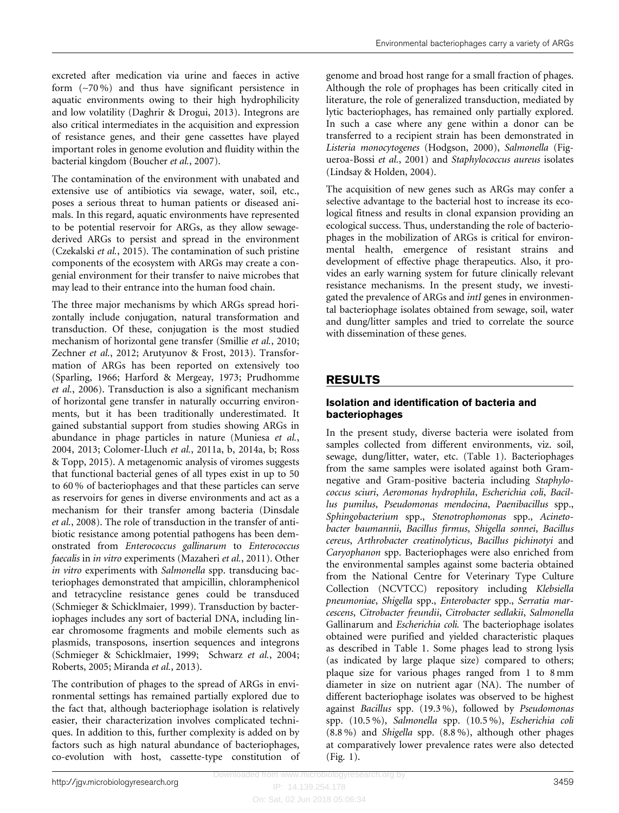excreted after medication via urine and faeces in active form (~70 %) and thus have significant persistence in aquatic environments owing to their high hydrophilicity and low volatility [\(Daghrir & Drogui, 2013](#page-7-0)). Integrons are also critical intermediates in the acquisition and expression of resistance genes, and their gene cassettes have played important roles in genome evolution and fluidity within the bacterial kingdom ([Boucher](#page-7-0) et al., 2007).

The contamination of the environment with unabated and extensive use of antibiotics via sewage, water, soil, etc., poses a serious threat to human patients or diseased animals. In this regard, aquatic environments have represented to be potential reservoir for ARGs, as they allow sewagederived ARGs to persist and spread in the environment [\(Czekalski](#page-7-0) et al., 2015). The contamination of such pristine components of the ecosystem with ARGs may create a congenial environment for their transfer to naive microbes that may lead to their entrance into the human food chain.

The three major mechanisms by which ARGs spread horizontally include conjugation, natural transformation and transduction. Of these, conjugation is the most studied mechanism of horizontal gene transfer ([Smillie](#page-8-0) et al., 2010; [Zechner](#page-8-0) et al., 2012; [Arutyunov & Frost, 2013](#page-7-0)). Transformation of ARGs has been reported on extensively too [\(Sparling, 1966;](#page-8-0) [Harford & Mergeay, 1973](#page-7-0); [Prudhomme](#page-8-0) et al.[, 2006](#page-8-0)). Transduction is also a significant mechanism of horizontal gene transfer in naturally occurring environments, but it has been traditionally underestimated. It gained substantial support from studies showing ARGs in abundance in phage particles in nature [\(Muniesa](#page-8-0) et al., [2004](#page-8-0), [2013](#page-8-0); [Colomer-Lluch](#page-7-0) et al., 2011a, [b, 2014a](#page-7-0), [b](#page-7-0); [Ross](#page-8-0) [& Topp, 2015\)](#page-8-0). A metagenomic analysis of viromes suggests that functional bacterial genes of all types exist in up to 50 to 60 % of bacteriophages and that these particles can serve as reservoirs for genes in diverse environments and act as a mechanism for their transfer among bacteria [\(Dinsdale](#page-7-0) et al.[, 2008](#page-7-0)). The role of transduction in the transfer of antibiotic resistance among potential pathogens has been demonstrated from Enterococcus gallinarum to Enterococcus faecalis in in vitro experiments [\(Mazaheri](#page-8-0) et al., 2011). Other in vitro experiments with Salmonella spp. transducing bacteriophages demonstrated that ampicillin, chloramphenicol and tetracycline resistance genes could be transduced [\(Schmieger & Schicklmaier, 1999\)](#page-8-0). Transduction by bacteriophages includes any sort of bacterial DNA, including linear chromosome fragments and mobile elements such as plasmids, transposons, insertion sequences and integrons [\(Schmieger & Schicklmaier, 1999; Schwarz](#page-8-0) et al., 2004; [Roberts, 2005](#page-8-0); [Miranda](#page-8-0) et al., 2013).

The contribution of phages to the spread of ARGs in environmental settings has remained partially explored due to the fact that, although bacteriophage isolation is relatively easier, their characterization involves complicated techniques. In addition to this, further complexity is added on by factors such as high natural abundance of bacteriophages, co-evolution with host, cassette-type constitution of genome and broad host range for a small fraction of phages. Although the role of prophages has been critically cited in literature, the role of generalized transduction, mediated by lytic bacteriophages, has remained only partially explored. In such a case where any gene within a donor can be transferred to a recipient strain has been demonstrated in Listeria monocytogenes ([Hodgson, 2000\)](#page-7-0), Salmonella [\(Fig](#page-7-0)[ueroa-Bossi](#page-7-0) et al., 2001) and Staphylococcus aureus isolates ([Lindsay & Holden, 2004\)](#page-8-0).

The acquisition of new genes such as ARGs may confer a selective advantage to the bacterial host to increase its ecological fitness and results in clonal expansion providing an ecological success. Thus, understanding the role of bacteriophages in the mobilization of ARGs is critical for environmental health, emergence of resistant strains and development of effective phage therapeutics. Also, it provides an early warning system for future clinically relevant resistance mechanisms. In the present study, we investigated the prevalence of ARGs and intI genes in environmental bacteriophage isolates obtained from sewage, soil, water and dung/litter samples and tried to correlate the source with dissemination of these genes.

# RESULTS

#### Isolation and identification of bacteria and bacteriophages

In the present study, diverse bacteria were isolated from samples collected from different environments, viz. soil, sewage, dung/litter, water, etc. ([Table 1](#page-2-0)). Bacteriophages from the same samples were isolated against both Gramnegative and Gram-positive bacteria including Staphylococcus sciuri, Aeromonas hydrophila, Escherichia coli, Bacillus pumilus, Pseudomonas mendocina, Paenibacillus spp., Sphingobacterium spp., Stenotrophomonas spp., Acinetobacter baumannii, Bacillus firmus, Shigella sonnei, Bacillus cereus, Arthrobacter creatinolyticus, Bacillus pichinotyi and Caryophanon spp. Bacteriophages were also enriched from the environmental samples against some bacteria obtained from the National Centre for Veterinary Type Culture Collection (NCVTCC) repository including Klebsiella pneumoniae, Shigella spp., Enterobacter spp., Serratia marcescens, Citrobacter freundii, Citrobacter sedlakii, Salmonella Gallinarum and Escherichia coli. The bacteriophage isolates obtained were purified and yielded characteristic plaques as described in [Table 1](#page-2-0). Some phages lead to strong lysis (as indicated by large plaque size) compared to others; plaque size for various phages ranged from 1 to 8 mm diameter in size on nutrient agar (NA). The number of different bacteriophage isolates was observed to be highest against Bacillus spp. (19.3 %), followed by Pseudomonas spp. (10.5 %), Salmonella spp. (10.5 %), Escherichia coli (8.8 %) and Shigella spp. (8.8 %), although other phages at comparatively lower prevalence rates were also detected ([Fig. 1](#page-3-0)).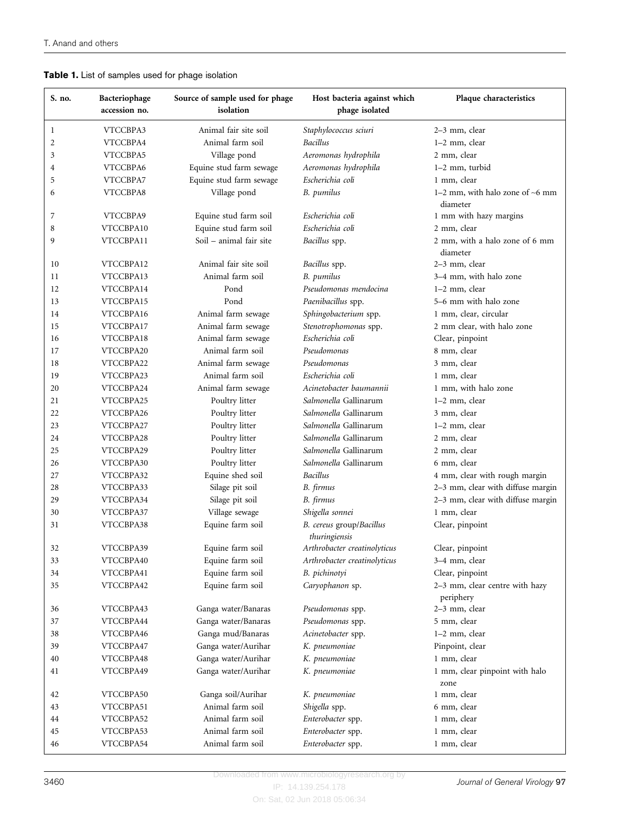# <span id="page-2-0"></span>Table 1. List of samples used for phage isolation

| S. no. | Bacteriophage<br>accession no. | Source of sample used for phage<br>isolation | Host bacteria against which<br>phage isolated | Plaque characteristics                        |
|--------|--------------------------------|----------------------------------------------|-----------------------------------------------|-----------------------------------------------|
| 1      | VTCCBPA3                       | Animal fair site soil                        | Staphylococcus sciuri                         | 2-3 mm, clear                                 |
| 2      | VTCCBPA4                       | Animal farm soil                             | <b>Bacillus</b>                               | 1-2 mm, clear                                 |
| 3      | VTCCBPA5                       | Village pond                                 | Aeromonas hydrophila                          | 2 mm, clear                                   |
| 4      | VTCCBPA6                       | Equine stud farm sewage                      | Aeromonas hydrophila                          | $1-2$ mm, turbid                              |
| 5      | VTCCBPA7                       | Equine stud farm sewage                      | Escherichia coli                              | 1 mm, clear                                   |
| 6      | VTCCBPA8                       | Village pond                                 | <b>B.</b> pumilus                             | 1-2 mm, with halo zone of $-6$ mm<br>diameter |
| 7      | VTCCBPA9                       | Equine stud farm soil                        | Escherichia coli                              | 1 mm with hazy margins                        |
| 8      | VTCCBPA10                      | Equine stud farm soil                        | Escherichia coli                              | 2 mm, clear                                   |
| 9      | VTCCBPA11                      | Soil - animal fair site                      | Bacillus spp.                                 | 2 mm, with a halo zone of 6 mm<br>diameter    |
| 10     | VTCCBPA12                      | Animal fair site soil                        | Bacillus spp.                                 | 2-3 mm, clear                                 |
| 11     | VTCCBPA13                      | Animal farm soil                             | <b>B.</b> pumilus                             | 3–4 mm, with halo zone                        |
| 12     | VTCCBPA14                      | Pond                                         | Pseudomonas mendocina                         | 1-2 mm, clear                                 |
| 13     | VTCCBPA15                      | Pond                                         | Paenibacillus spp.                            | 5–6 mm with halo zone                         |
| 14     | VTCCBPA16                      | Animal farm sewage                           | Sphingobacterium spp.                         | 1 mm, clear, circular                         |
| 15     | VTCCBPA17                      | Animal farm sewage                           | Stenotrophomonas spp.                         | 2 mm clear, with halo zone                    |
| 16     | VTCCBPA18                      | Animal farm sewage                           | Escherichia coli                              | Clear, pinpoint                               |
| 17     | VTCCBPA20                      | Animal farm soil                             | Pseudomonas                                   | 8 mm, clear                                   |
| 18     | VTCCBPA22                      | Animal farm sewage                           | Pseudomonas                                   | 3 mm, clear                                   |
| 19     | VTCCBPA23                      | Animal farm soil                             | Escherichia coli                              | 1 mm, clear                                   |
| 20     | VTCCBPA24                      | Animal farm sewage                           | Acinetobacter baumannii                       | 1 mm, with halo zone                          |
| 21     | VTCCBPA25                      | Poultry litter                               | Salmonella Gallinarum                         | 1-2 mm, clear                                 |
| 22     | VTCCBPA26                      | Poultry litter                               | Salmonella Gallinarum                         | 3 mm, clear                                   |
| 23     | VTCCBPA27                      | Poultry litter                               | Salmonella Gallinarum                         | 1-2 mm, clear                                 |
| 24     | VTCCBPA28                      | Poultry litter                               | Salmonella Gallinarum                         | 2 mm, clear                                   |
| 25     | VTCCBPA29                      | Poultry litter                               | Salmonella Gallinarum                         | 2 mm, clear                                   |
| 26     | VTCCBPA30                      | Poultry litter                               | Salmonella Gallinarum                         | 6 mm, clear                                   |
| 27     | VTCCBPA32                      | Equine shed soil                             | Bacillus                                      | 4 mm, clear with rough margin                 |
| 28     | VTCCBPA33                      | Silage pit soil                              | B. firmus                                     | 2-3 mm, clear with diffuse margin             |
| 29     | VTCCBPA34                      | Silage pit soil                              | B. firmus                                     | 2-3 mm, clear with diffuse margin             |
| 30     | VTCCBPA37                      | Village sewage                               | Shigella sonnei                               | 1 mm, clear                                   |
| 31     | VTCCBPA38                      | Equine farm soil                             | B. cereus group/Bacillus<br>thuringiensis     | Clear, pinpoint                               |
| 32     | VTCCBPA39                      | Equine farm soil                             | Arthrobacter creatinolyticus                  | Clear, pinpoint                               |
| 33     | VTCCBPA40                      | Equine farm soil                             | Arthrobacter creatinolyticus                  | 3-4 mm, clear                                 |
| 34     | VTCCBPA41                      | Equine farm soil                             | B. pichinotyi                                 | Clear, pinpoint                               |
| 35     | VTCCBPA42                      | Equine farm soil                             | Caryophanon sp.                               | 2-3 mm, clear centre with hazy<br>periphery   |
| 36     | VTCCBPA43                      | Ganga water/Banaras                          | Pseudomonas spp.                              | 2-3 mm, clear                                 |
| 37     | VTCCBPA44                      | Ganga water/Banaras                          | Pseudomonas spp.                              | 5 mm, clear                                   |
| 38     | VTCCBPA46                      | Ganga mud/Banaras                            | Acinetobacter spp.                            | 1-2 mm, clear                                 |
| 39     | VTCCBPA47                      | Ganga water/Aurihar                          | K. pneumoniae                                 | Pinpoint, clear                               |
| 40     | VTCCBPA48                      | Ganga water/Aurihar                          | K. pneumoniae                                 | 1 mm, clear                                   |
| 41     | VTCCBPA49                      | Ganga water/Aurihar                          | K. pneumoniae                                 | 1 mm, clear pinpoint with halo<br>zone        |
| 42     | VTCCBPA50                      | Ganga soil/Aurihar                           | K. pneumoniae                                 | 1 mm, clear                                   |
| 43     | VTCCBPA51                      | Animal farm soil                             | Shigella spp.                                 | 6 mm, clear                                   |
| 44     | VTCCBPA52                      | Animal farm soil                             | Enterobacter spp.                             | 1 mm, clear                                   |
| 45     | VTCCBPA53                      | Animal farm soil                             | Enterobacter spp.                             | 1 mm, clear                                   |
| 46     | VTCCBPA54                      | Animal farm soil                             | Enterobacter spp.                             | 1 mm, clear                                   |

Downloaded from www.microbiologyresearch.org by

IP: 14.139.254.178 On: Sat, 02 Jun 2018 05:06:34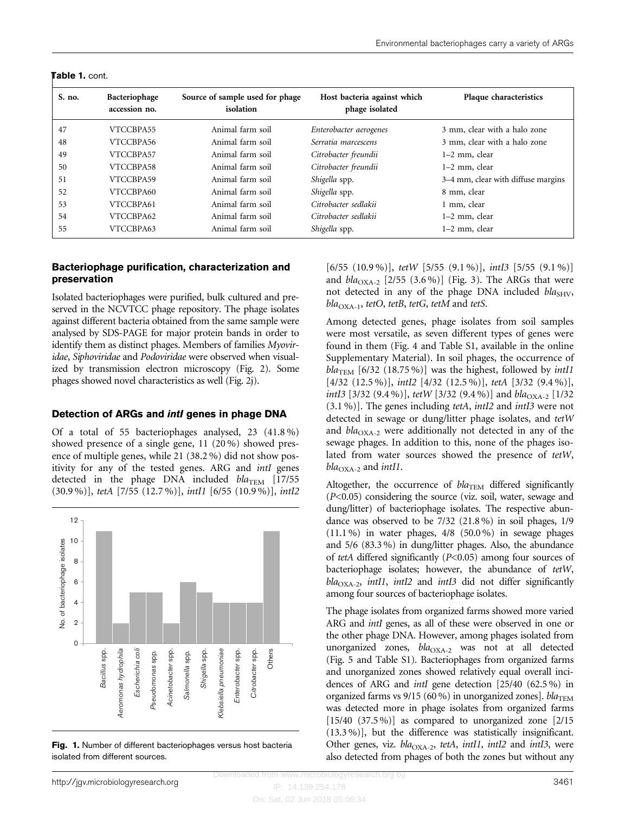| S. no. | Bacteriophage<br>accession no. | Source of sample used for phage<br>isolation | Host bacteria against which<br>phage isolated | Plaque characteristics             |
|--------|--------------------------------|----------------------------------------------|-----------------------------------------------|------------------------------------|
| 47     | VTCCBPA55                      | Animal farm soil                             | Enterobacter aerogenes                        | 3 mm, clear with a halo zone       |
| 48     | VTCCBPA56                      | Animal farm soil                             | Serratia marcescens                           | 3 mm, clear with a halo zone       |
| 49     | VTCCBPA57                      | Animal farm soil                             | Citrobacter freundii                          | 1–2 mm, clear                      |
| 50     | VTCCBPA58                      | Animal farm soil                             | Citrobacter freundii                          | 1–2 mm, clear                      |
| 51     | VTCCBPA59                      | Animal farm soil                             | Shigella spp.                                 | 3–4 mm, clear with diffuse margins |
| 52     | VTCCBPA60                      | Animal farm soil                             | Shigella spp.                                 | 8 mm, clear                        |
| 53     | VTCCBPA61                      | Animal farm soil                             | Citrobacter sedlakii                          | 1 mm, clear                        |
| 54     | VTCCBPA62                      | Animal farm soil                             | Citrobacter sedlakii                          | 1–2 mm, clear                      |
| 55     | VTCCBPA63                      | Animal farm soil                             | Shigella spp.                                 | 1–2 mm, clear                      |

#### <span id="page-3-0"></span>Table 1. cont.

#### Bacteriophage purification, characterization and preservation

Isolated bacteriophages were purified, bulk cultured and preserved in the NCVTCC phage repository. The phage isolates against different bacteria obtained from the same sample were analysed by SDS-PAGE for major protein bands in order to identify them as distinct phages. Members of families Myoviridae, Siphoviridae and Podoviridae were observed when visualized by transmission electron microscopy ([Fig. 2\)](#page-4-0). Some phages showed novel characteristics as well [\(Fig. 2j\)](#page-4-0).

#### Detection of ARGs and intI genes in phage DNA

Of a total of 55 bacteriophages analysed, 23 (41.8 %) showed presence of a single gene, 11 (20 %) showed presence of multiple genes, while 21 (38.2 %) did not show positivity for any of the tested genes. ARG and *intI* genes detected in the phage DNA included  $bla_{\text{TEM}}$  [17/55 (30.9 %)], tetA [7/55 (12.7 %)], intI1 [6/55 (10.9 %)], intI2



Fig. 1. Number of different bacteriophages versus host bacteria isolated from different sources.

[6/55  $(10.9\%)$ ], tetW [5/55  $(9.1\%)$ ], intI3 [5/55  $(9.1\%)$ ] and  $bla_{\text{OXA-2}}$  [2/55 (3.6 %)] ([Fig. 3](#page-4-0)). The ARGs that were not detected in any of the phage DNA included  $bla<sub>SHV</sub>$ ,  $bla_{\text{OXA-1}}$ , tetO, tetB, tetG, tetM and tetS.

Among detected genes, phage isolates from soil samples were most versatile, as seven different types of genes were found in them [\(Fig. 4](#page-5-0) and Table S1, available in the online Supplementary Material). In soil phages, the occurrence of  $bla_{\text{TEM}}$  [6/32 (18.75%)] was the highest, followed by *intI1* [4/32 (12.5 %)], int<br/>I2 [4/32 (12.5 %)], tetA [3/32 (9.4 %)], intI3 [3/32 (9.4 %)], tetW [3/32 (9.4 %)] and  $bla_{\text{OXA-2}}$  [1/32 (3.1 %)]. The genes including tetA, intI2 and intI3 were not detected in sewage or dung/litter phage isolates, and tetW and  $bla_{\text{OXA-2}}$  were additionally not detected in any of the sewage phages. In addition to this, none of the phages isolated from water sources showed the presence of tetW,  $bla_{\text{OXA-2}}$  and *intI1*.

Altogether, the occurrence of  $bla_{TEM}$  differed significantly (P<0.05) considering the source (viz. soil, water, sewage and dung/litter) of bacteriophage isolates. The respective abundance was observed to be 7/32 (21.8 %) in soil phages, 1/9  $(11.1\%)$  in water phages,  $4/8$   $(50.0\%)$  in sewage phages and 5/6 (83.3 %) in dung/litter phages. Also, the abundance of tetA differed significantly (P<0.05) among four sources of bacteriophage isolates; however, the abundance of tetW,  $bla<sub>OXA-2</sub>$ , intI1, intI2 and intI3 did not differ significantly among four sources of bacteriophage isolates.

The phage isolates from organized farms showed more varied ARG and *intI* genes, as all of these were observed in one or the other phage DNA. However, among phages isolated from unorganized zones,  $bla_{\text{OXA-2}}$  was not at all detected [\(Fig. 5](#page-5-0) and Table S1). Bacteriophages from organized farms and unorganized zones showed relatively equal overall incidences of ARG and intI gene detection [25/40 (62.5 %) in organized farms vs  $9/15$  (60 %) in unorganized zones].  $bla_{\text{TEM}}$ was detected more in phage isolates from organized farms  $[15/40 (37.5\%)]$  as compared to unorganized zone  $[2/15]$ (13.3 %)], but the difference was statistically insignificant. Other genes, viz.  $bla_{\text{OXA-2}}$ , tetA, intI1, intI2 and intI3, were also detected from phages of both the zones but without any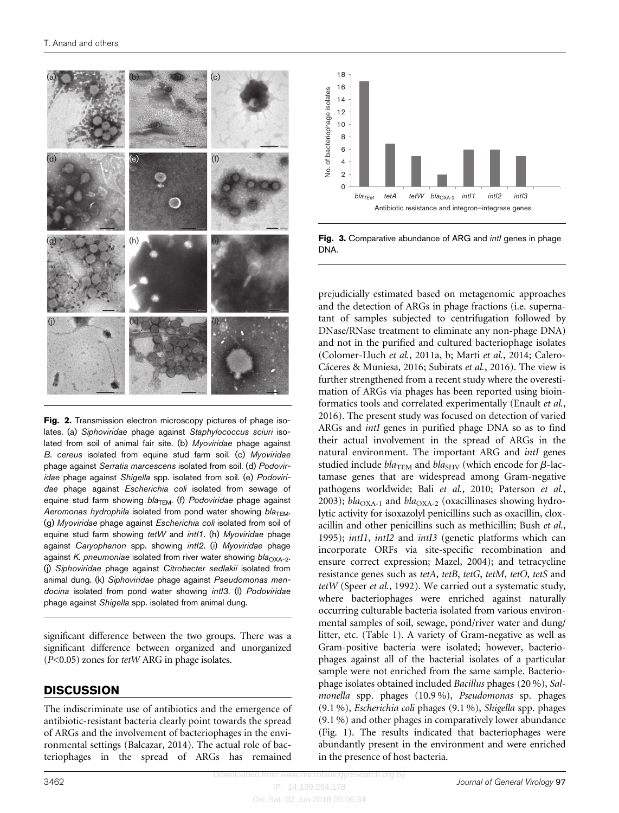<span id="page-4-0"></span>

Fig. 2. Transmission electron microscopy pictures of phage isolates. (a) Siphoviridae phage against Staphylococcus sciuri isolated from soil of animal fair site. (b) Myoviridae phage against B. cereus isolated from equine stud farm soil. (c) Myoviridae phage against Serratia marcescens isolated from soil. (d) Podoviridae phage against Shigella spp. isolated from soil. (e) Podoviridae phage against Escherichia coli isolated from sewage of equine stud farm showing  $bla$ <sub>TEM</sub>. (f) Podoviridae phage against Aeromonas hydrophila isolated from pond water showing  $bla<sub>TEM</sub>$ . (g) Myoviridae phage against Escherichia coli isolated from soil of equine stud farm showing tetW and intl1. (h) Myoviridae phage against Caryophanon spp. showing intI2. (i) Myoviridae phage against K. pneumoniae isolated from river water showing  $bla_{\text{OXA-2}}$ . (j) Siphoviridae phage against Citrobacter sedlakii isolated from animal dung. (k) Siphoviridae phage against Pseudomonas mendocina isolated from pond water showing intl3. (I) Podoviridae phage against Shigella spp. isolated from animal dung.

significant difference between the two groups. There was a significant difference between organized and unorganized (P<0.05) zones for tetW ARG in phage isolates.

## **DISCUSSION**

The indiscriminate use of antibiotics and the emergence of antibiotic-resistant bacteria clearly point towards the spread of ARGs and the involvement of bacteriophages in the environmental settings [\(Balcazar, 2014](#page-7-0)). The actual role of bacteriophages in the spread of ARGs has remained



Fig. 3. Comparative abundance of ARG and *intl* genes in phage **DNA** 

prejudicially estimated based on metagenomic approaches and the detection of ARGs in phage fractions (i.e. supernatant of samples subjected to centrifugation followed by DNase/RNase treatment to eliminate any non-phage DNA) and not in the purified and cultured bacteriophage isolates ([Colomer-Lluch](#page-7-0) et al., 2011a, [b;](#page-7-0) Marti et al.[, 2014](#page-8-0); [Calero-](#page-7-0)[C](#page-7-0)áceres & Muniesa, 2016; [Subirats](#page-8-0) et al., 2016). The view is further strengthened from a recent study where the overestimation of ARGs via phages has been reported using bioinformatics tools and correlated experimentally [\(Enault](#page-7-0) et al., [2016](#page-7-0)). The present study was focused on detection of varied ARGs and intI genes in purified phage DNA so as to find their actual involvement in the spread of ARGs in the natural environment. The important ARG and intI genes studied include  $bla_{\text{TEM}}$  and  $bla_{\text{SHV}}$  (which encode for  $\beta$ -lactamase genes that are widespread among Gram-negative pathogens worldwide; Bali et al.[, 2010](#page-7-0); [Paterson](#page-8-0) et al., [2003](#page-8-0));  $bla_{\text{OX}_{A-1}}$  and  $bla_{\text{OX}_{A-2}}$  (oxacillinases showing hydrolytic activity for isoxazolyl penicillins such as oxacillin, cloxacillin and other penicillins such as methicillin; [Bush](#page-7-0) et al., [1995](#page-7-0)); intI1, intI2 and intI3 (genetic platforms which can incorporate ORFs via site-specific recombination and ensure correct expression; [Mazel, 2004\)](#page-8-0); and tetracycline resistance genes such as tetA, tetB, tetG, tetM, tetO, tetS and tetW (Speer et al.[, 1992\)](#page-8-0). We carried out a systematic study, where bacteriophages were enriched against naturally occurring culturable bacteria isolated from various environmental samples of soil, sewage, pond/river water and dung/ litter, etc. ([Table 1](#page-2-0)). A variety of Gram-negative as well as Gram-positive bacteria were isolated; however, bacteriophages against all of the bacterial isolates of a particular sample were not enriched from the same sample. Bacteriophage isolates obtained included Bacillus phages (20 %), Salmonella spp. phages (10.9 %), Pseudomonas sp. phages (9.1 %), Escherichia coli phages (9.1 %), Shigella spp. phages (9.1 %) and other phages in comparatively lower abundance ([Fig. 1\)](#page-3-0). The results indicated that bacteriophages were abundantly present in the environment and were enriched in the presence of host bacteria.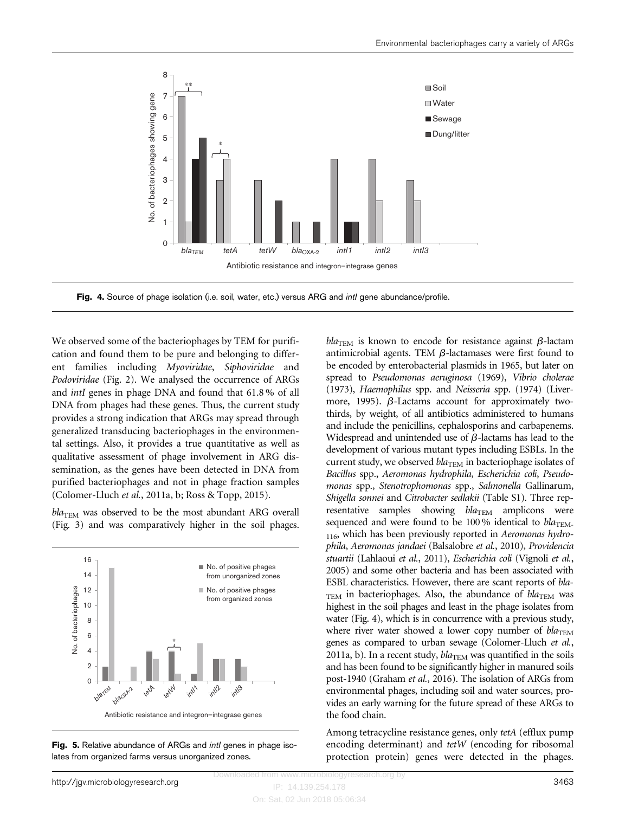<span id="page-5-0"></span>

Fig. 4. Source of phage isolation (i.e. soil, water, etc.) versus ARG and *intl* gene abundance/profile.

We observed some of the bacteriophages by TEM for purification and found them to be pure and belonging to different families including Myoviridae, Siphoviridae and Podoviridae ([Fig. 2](#page-4-0)). We analysed the occurrence of ARGs and intI genes in phage DNA and found that 61.8 % of all DNA from phages had these genes. Thus, the current study provides a strong indication that ARGs may spread through generalized transducing bacteriophages in the environmental settings. Also, it provides a true quantitative as well as qualitative assessment of phage involvement in ARG dissemination, as the genes have been detected in DNA from purified bacteriophages and not in phage fraction samples [\(Colomer-Lluch](#page-7-0) et al., 2011a, [b](#page-7-0); [Ross & Topp, 2015](#page-8-0)).

 $bla_{TEM}$  was observed to be the most abundant ARG overall [\(Fig. 3\)](#page-4-0) and was comparatively higher in the soil phages.



Fig. 5. Relative abundance of ARGs and *intl* genes in phage isolates from organized farms versus unorganized zones.

 $bla_{\text{TEM}}$  is known to encode for resistance against  $\beta$ -lactam antimicrobial agents. TEM  $\beta$ -lactamases were first found to be encoded by enterobacterial plasmids in 1965, but later on spread to Pseudomonas aeruginosa (1969), Vibrio cholerae (1973), Haemophilus spp. and Neisseria spp. (1974) [\(Liver](#page-8-0)[more, 1995](#page-8-0)).  $\beta$ -Lactams account for approximately twothirds, by weight, of all antibiotics administered to humans and include the penicillins, cephalosporins and carbapenems. Widespread and unintended use of  $\beta$ -lactams has lead to the development of various mutant types including ESBLs. In the current study, we observed  $bla_{\text{TEM}}$  in bacteriophage isolates of Bacillus spp., Aeromonas hydrophila, Escherichia coli, Pseudomonas spp., Stenotrophomonas spp., Salmonella Gallinarum, Shigella sonnei and Citrobacter sedlakii (Table S1). Three representative samples showing  $bla_{\text{TEM}}$  amplicons were sequenced and were found to be 100% identical to  $bla_{\text{TEM}}$ . 116, which has been previously reported in Aeromonas hydrophila, Aeromonas jandaei ([Balsalobre](#page-7-0) et al., 2010), Providencia stuartii [\(Lahlaoui](#page-8-0) et al., 2011), Escherichia coli [\(Vignoli](#page-8-0) et al., [2005](#page-8-0)) and some other bacteria and has been associated with ESBL characteristics. However, there are scant reports of bla- $T_{\text{EM}}$  in bacteriophages. Also, the abundance of  $bla_{\text{TEM}}$  was highest in the soil phages and least in the phage isolates from water (Fig. 4), which is in concurrence with a previous study, where river water showed a lower copy number of  $bla_{\text{TEM}}$ genes as compared to urban sewage ([Colomer-Lluch](#page-7-0) et al., [2011a, b](#page-7-0)). In a recent study,  $bla_{\text{TEM}}$  was quantified in the soils and has been found to be significantly higher in manured soils post-1940 [\(Graham](#page-7-0) et al., 2016). The isolation of ARGs from environmental phages, including soil and water sources, provides an early warning for the future spread of these ARGs to the food chain.

Among tetracycline resistance genes, only tetA (efflux pump encoding determinant) and tetW (encoding for ribosomal protection protein) genes were detected in the phages.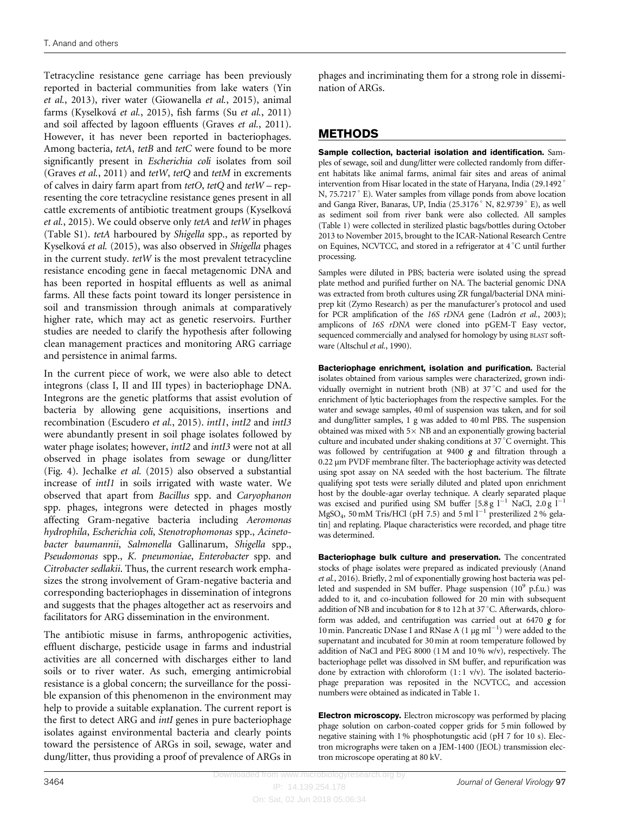Tetracycline resistance gene carriage has been previously reported in bacterial communities from lake waters [\(Yin](#page-8-0) et al.[, 2013\)](#page-8-0), river water [\(Giowanella](#page-7-0) et al., 2015), animal farms [\(Kyselkov](#page-7-0)á et al.[, 2015](#page-7-0)), fish farms (Su et al.[, 2011\)](#page-8-0) and soil affected by lagoon effluents [\(Graves](#page-7-0) et al., 2011). However, it has never been reported in bacteriophages. Among bacteria, tetA, tetB and tetC were found to be more significantly present in Escherichia coli isolates from soil ([Graves](#page-7-0) et al., 2011) and tetW, tetQ and tetM in excrements of calves in dairy farm apart from tetO, tetQ and tetW – representing the core tetracycline resistance genes present in all cattle excrements of antibiotic treatment groups ([Kyselkov](#page-7-0)a et al.[, 2015\)](#page-7-0). We could observe only tetA and tetW in phages (Table S1). tetA harboured by Shigella spp., as reported by [Kyselkov](#page-7-0)á et al. [\(2015\)](#page-7-0), was also observed in Shigella phages in the current study. tetW is the most prevalent tetracycline resistance encoding gene in faecal metagenomic DNA and has been reported in hospital effluents as well as animal farms. All these facts point toward its longer persistence in soil and transmission through animals at comparatively higher rate, which may act as genetic reservoirs. Further studies are needed to clarify the hypothesis after following clean management practices and monitoring ARG carriage and persistence in animal farms.

In the current piece of work, we were also able to detect integrons (class I, II and III types) in bacteriophage DNA. Integrons are the genetic platforms that assist evolution of bacteria by allowing gene acquisitions, insertions and recombination [\(Escudero](#page-7-0) et al., 2015). intI1, intI2 and intI3 were abundantly present in soil phage isolates followed by water phage isolates; however, intI2 and intI3 were not at all observed in phage isolates from sewage or dung/litter ([Fig. 4](#page-5-0)). [Jechalke](#page-7-0) et al. (2015) also observed a substantial increase of intI1 in soils irrigated with waste water. We observed that apart from Bacillus spp. and Caryophanon spp. phages, integrons were detected in phages mostly affecting Gram-negative bacteria including Aeromonas hydrophila, Escherichia coli, Stenotrophomonas spp., Acinetobacter baumannii, Salmonella Gallinarum, Shigella spp., Pseudomonas spp., K. pneumoniae, Enterobacter spp. and Citrobacter sedlakii. Thus, the current research work emphasizes the strong involvement of Gram-negative bacteria and corresponding bacteriophages in dissemination of integrons and suggests that the phages altogether act as reservoirs and facilitators for ARG dissemination in the environment.

The antibiotic misuse in farms, anthropogenic activities, effluent discharge, pesticide usage in farms and industrial activities are all concerned with discharges either to land soils or to river water. As such, emerging antimicrobial resistance is a global concern; the surveillance for the possible expansion of this phenomenon in the environment may help to provide a suitable explanation. The current report is the first to detect ARG and intI genes in pure bacteriophage isolates against environmental bacteria and clearly points toward the persistence of ARGs in soil, sewage, water and dung/litter, thus providing a proof of prevalence of ARGs in

phages and incriminating them for a strong role in dissemination of ARGs.

# METHODS

Sample collection, bacterial isolation and identification. Samples of sewage, soil and dung/litter were collected randomly from different habitats like animal farms, animal fair sites and areas of animal intervention from Hisar located in the state of Haryana, India (29.1492 N, 75.7217° E). Water samples from village ponds from above location and Ganga River, Banaras, UP, India (25.3176 $^{\circ}$  N, 82.9739 $^{\circ}$  E), as well as sediment soil from river bank were also collected. All samples [\(Table 1\)](#page-2-0) were collected in sterilized plastic bags/bottles during October 2013 to November 2015, brought to the ICAR-National Research Centre on Equines, NCVTCC, and stored in a refrigerator at 4 °C until further processing.

Samples were diluted in PBS; bacteria were isolated using the spread plate method and purified further on NA. The bacterial genomic DNA was extracted from broth cultures using ZR fungal/bacterial DNA miniprep kit (Zymo Research) as per the manufacturer's protocol and used for PCR amplification of the 16S rDNA gene ([Ladrón](#page-7-0) et al., 2003); amplicons of 16S rDNA were cloned into pGEM-T Easy vector, sequenced commercially and analysed for homology by using BLAST software ([Altschul](#page-7-0) et al., 1990).

Bacteriophage enrichment, isolation and purification. Bacterial isolates obtained from various samples were characterized, grown individually overnight in nutrient broth (NB) at 37 C and used for the enrichment of lytic bacteriophages from the respective samples. For the water and sewage samples, 40 ml of suspension was taken, and for soil and dung/litter samples, 1 g was added to 40 ml PBS. The suspension obtained was mixed with  $5\times$  NB and an exponentially growing bacterial culture and incubated under shaking conditions at  $37^{\circ}$ C overnight. This was followed by centrifugation at 9400 g and filtration through a 0.22 µm PVDF membrane filter. The bacteriophage activity was detected using spot assay on NA seeded with the host bacterium. The filtrate qualifying spot tests were serially diluted and plated upon enrichment host by the double-agar overlay technique. A clearly separated plaque was excised and purified using SM buffer [5.8 g  $l^{-1}$  NaCl, 2.0 g  $l^{-1}$ MgSO<sub>4</sub>, 50 mM Tris/HCl (pH 7.5) and 5 ml  $l^{-1}$  presterilized 2 % gelatin] and replating. Plaque characteristics were recorded, and phage titre was determined.

Bacteriophage bulk culture and preservation. The concentrated stocks of phage isolates were prepared as indicated previously [\(Anand](#page-7-0) et al.[, 2016](#page-7-0)). Briefly, 2 ml of exponentially growing host bacteria was pelleted and suspended in SM buffer. Phage suspension  $(10^9 \text{ p.f.u.})$  was added to it, and co-incubation followed for 20 min with subsequent addition of NB and incubation for 8 to 12 h at 37 °C. Afterwards, chloroform was added, and centrifugation was carried out at 6470 g for 10 min. Pancreatic DNase I and RNase A (1  $\mu$ g ml<sup>-1</sup>) were added to the supernatant and incubated for 30 min at room temperature followed by addition of NaCl and PEG 8000 (1 M and 10 % w/v), respectively. The bacteriophage pellet was dissolved in SM buffer, and repurification was done by extraction with chloroform  $(1:1 \text{ v/v})$ . The isolated bacteriophage preparation was reposited in the NCVTCC, and accession numbers were obtained as indicated in [Table 1](#page-2-0).

Electron microscopy. Electron microscopy was performed by placing phage solution on carbon-coated copper grids for 5 min followed by negative staining with 1 % phosphotungstic acid (pH 7 for 10 s). Electron micrographs were taken on a JEM-1400 (JEOL) transmission electron microscope operating at 80 kV.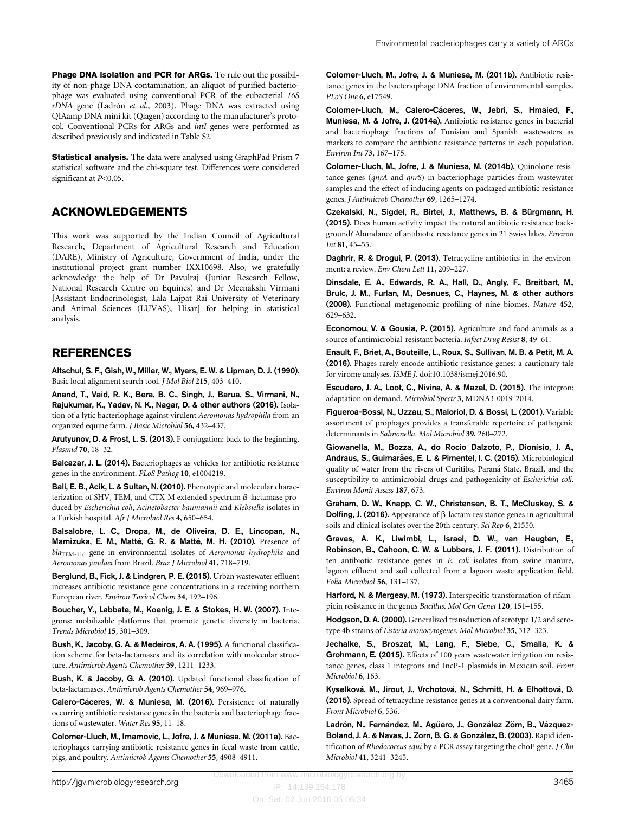<span id="page-7-0"></span>Statistical analysis. The data were analysed using GraphPad Prism 7 statistical software and the chi-square test. Differences were considered significant at P<0.05.

## ACKNOWLEDGEMENTS

This work was supported by the Indian Council of Agricultural Research, Department of Agricultural Research and Education (DARE), Ministry of Agriculture, Government of India, under the institutional project grant number IXX10698. Also, we gratefully acknowledge the help of Dr Pavulraj (Junior Research Fellow, National Research Centre on Equines) and Dr Meenakshi Virmani [Assistant Endocrinologist, Lala Lajpat Rai University of Veterinary and Animal Sciences (LUVAS), Hisar] for helping in statistical analysis.

## REFERENCES

Altschul, S. F., Gish, W., Miller, W., Myers, E. W. & Lipman, D. J. (1990). Basic local alignment search tool. J Mol Biol 215, 403–410.

Anand, T., Vaid, R. K., Bera, B. C., Singh, J., Barua, S., Virmani, N., Rajukumar, K., Yadav, N. K., Nagar, D. & other authors (2016). Isolation of a lytic bacteriophage against virulent Aeromonas hydrophila from an organized equine farm. J Basic Microbiol 56, 432–437.

Arutyunov, D. & Frost, L. S. (2013). F conjugation: back to the beginning. Plasmid 70, 18–32.

Balcazar, J. L. (2014). Bacteriophages as vehicles for antibiotic resistance genes in the environment. PLoS Pathog 10, e1004219.

Bali, E. B., Acik, L. & Sultan, N. (2010). Phenotypic and molecular characterization of SHV, TEM, and CTX-M extended-spectrum  $\beta$ -lactamase produced by Escherichia coli, Acinetobacter baumannii and Klebsiella isolates in a Turkish hospital. Afr J Microbiol Res 4, 650–654.

Balsalobre, L. C., Dropa, M., de Oliveira, D. E., Lincopan, N., Mamizuka, E. M., Matté, G. R. & Matté, M. H. (2010). Presence of bla<sub>TEM-116</sub> gene in environmental isolates of Aeromonas hydrophila and Aeromonas jandaei from Brazil. Braz J Microbiol 41, 718–719.

Berglund, B., Fick, J. & Lindgren, P. E. (2015). Urban wastewater effluent increases antibiotic resistance gene concentrations in a receiving northern European river. Environ Toxicol Chem 34, 192–196.

Boucher, Y., Labbate, M., Koenig, J. E. & Stokes, H. W. (2007). Integrons: mobilizable platforms that promote genetic diversity in bacteria. Trends Microbiol 15, 301–309.

Bush, K., Jacoby, G. A. & Medeiros, A. A. (1995). A functional classification scheme for beta-lactamases and its correlation with molecular structure. Antimicrob Agents Chemother 39, 1211–1233.

Bush, K. & Jacoby, G. A. (2010). Updated functional classification of beta-lactamases. Antimicrob Agents Chemother 54, 969–976.

Calero-Cáceres, W. & Muniesa, M. (2016). Persistence of naturally occurring antibiotic resistance genes in the bacteria and bacteriophage fractions of wastewater. Water Res 95, 11–18.

Colomer-Lluch, M., Imamovic, L., Jofre, J. & Muniesa, M. (2011a). Bacteriophages carrying antibiotic resistance genes in fecal waste from cattle, pigs, and poultry. Antimicrob Agents Chemother 55, 4908–4911.

Colomer-Lluch, M., Jofre, J. & Muniesa, M. (2011b). Antibiotic resistance genes in the bacteriophage DNA fraction of environmental samples. PLoS One 6, e17549.

Colomer-Lluch, M., Calero-Cáceres, W., Jebri, S., Hmaied, F., Muniesa, M. & Jofre, J. (2014a). Antibiotic resistance genes in bacterial and bacteriophage fractions of Tunisian and Spanish wastewaters as markers to compare the antibiotic resistance patterns in each population. Environ Int 73, 167–175.

Colomer-Lluch, M., Jofre, J. & Muniesa, M. (2014b). Quinolone resistance genes (qnrA and qnrS) in bacteriophage particles from wastewater samples and the effect of inducing agents on packaged antibiotic resistance genes. J Antimicrob Chemother 69, 1265–1274.

Czekalski, N., Sigdel, R., Birtel, J., Matthews, B. & Bürgmann, H. (2015). Does human activity impact the natural antibiotic resistance background? Abundance of antibiotic resistance genes in 21 Swiss lakes. Environ Int 81, 45–55.

Daghrir, R. & Drogui, P. (2013). Tetracycline antibiotics in the environment: a review. Env Chem Lett 11, 209–227.

Dinsdale, E. A., Edwards, R. A., Hall, D., Angly, F., Breitbart, M., Brulc, J. M., Furlan, M., Desnues, C., Haynes, M. & other authors (2008). Functional metagenomic profiling of nine biomes. Nature 452, 629–632.

Economou, V. & Gousia, P. (2015). Agriculture and food animals as a source of antimicrobial-resistant bacteria. Infect Drug Resist 8, 49–61.

Enault, F., Briet, A., Bouteille, L., Roux, S., Sullivan, M. B. & Petit, M. A. (2016). Phages rarely encode antibiotic resistance genes: a cautionary tale for virome analyses. ISME J. doi:10.1038/ismej.2016.90.

Escudero, J. A., Loot, C., Nivina, A. & Mazel, D. (2015). The integron: adaptation on demand. Microbiol Spectr 3, MDNA3-0019-2014.

Figueroa-Bossi, N., Uzzau, S., Maloriol, D. & Bossi, L. (2001). Variable assortment of prophages provides a transferable repertoire of pathogenic determinants in Salmonella. Mol Microbiol 39, 260–272.

Giowanella, M., Bozza, A., do Rocio Dalzoto, P., Dionísio, J. A., Andraus, S., Guimarães, E. L. & Pimentel, I. C. (2015). Microbiological quality of water from the rivers of Curitiba, Paraná State, Brazil, and the susceptibility to antimicrobial drugs and pathogenicity of Escherichia coli. Environ Monit Assess 187, 673.

Graham, D. W., Knapp, C. W., Christensen, B. T., McCluskey, S. & Dolfing, J. (2016). Appearance of  $\beta$ -lactam resistance genes in agricultural soils and clinical isolates over the 20th century. Sci Rep 6, 21550.

Graves, A. K., Liwimbi, L., Israel, D. W., van Heugten, E., Robinson, B., Cahoon, C. W. & Lubbers, J. F. (2011). Distribution of ten antibiotic resistance genes in E. coli isolates from swine manure, lagoon effluent and soil collected from a lagoon waste application field. Folia Microbiol 56, 131–137.

Harford, N. & Mergeay, M. (1973). Interspecific transformation of rifampicin resistance in the genus Bacillus. Mol Gen Genet 120, 151–155.

Hodgson, D. A. (2000). Generalized transduction of serotype 1/2 and serotype 4b strains of Listeria monocytogenes. Mol Microbiol 35, 312–323.

Jechalke, S., Broszat, M., Lang, F., Siebe, C., Smalla, K. & Grohmann, E. (2015). Effects of 100 years wastewater irrigation on resistance genes, class 1 integrons and IncP-1 plasmids in Mexican soil. Front Microbiol 6, 163.

Kyselková, M., Jirout, J., Vrchotová, N., Schmitt, H. & Elhottová, D. (2015). Spread of tetracycline resistance genes at a conventional dairy farm. Front Microbiol 6, 536.

Ladrón, N., Fernández, M., Agüero, J., González Zörn, B., Vázquez-Boland, J. A. & Navas, J., Zorn, B. G. & González, B. (2003). Rapid identification of Rhodococcus equi by a PCR assay targeting the choE gene. J Clin Microbiol 41, 3241–3245.